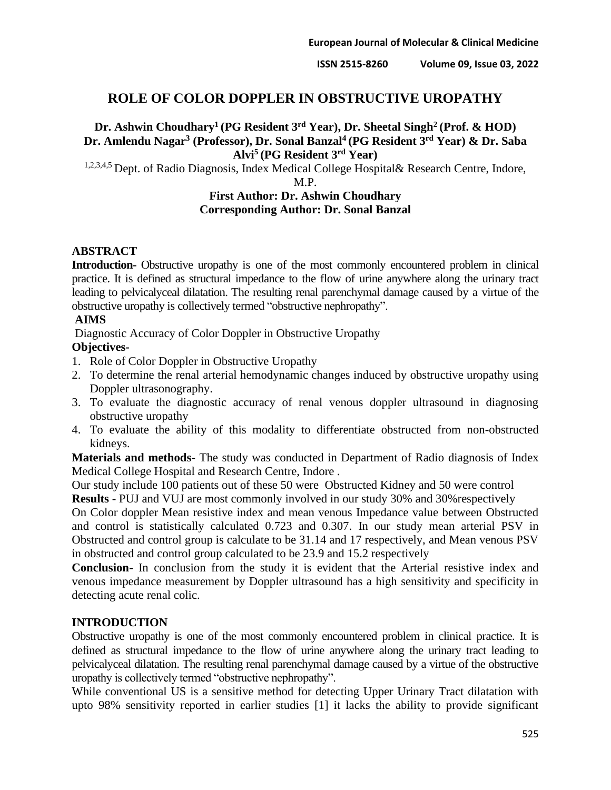# **ROLE OF COLOR DOPPLER IN OBSTRUCTIVE UROPATHY**

# **Dr. Ashwin Choudhary<sup>1</sup>(PG Resident 3rd Year), Dr. Sheetal Singh<sup>2</sup>(Prof. & HOD) Dr. Amlendu Nagar<sup>3</sup> (Professor), Dr. Sonal Banzal<sup>4</sup>(PG Resident 3rd Year) & Dr. Saba Alvi<sup>5</sup>(PG Resident 3rd Year)**

1,2,3,4,5 Dept. of Radio Diagnosis, Index Medical College Hospital& Research Centre, Indore,

M.P.

### **First Author: Dr. Ashwin Choudhary Corresponding Author: Dr. Sonal Banzal**

### **ABSTRACT**

**Introduction-** Obstructive uropathy is one of the most commonly encountered problem in clinical practice. It is defined as structural impedance to the flow of urine anywhere along the urinary tract leading to pelvicalyceal dilatation. The resulting renal parenchymal damage caused by a virtue of the obstructive uropathy is collectively termed "obstructive nephropathy".

### **AIMS**

Diagnostic Accuracy of Color Doppler in Obstructive Uropathy

## **Objectives-**

- 1. Role of Color Doppler in Obstructive Uropathy
- 2. To determine the renal arterial hemodynamic changes induced by obstructive uropathy using Doppler ultrasonography.
- 3. To evaluate the diagnostic accuracy of renal venous doppler ultrasound in diagnosing obstructive uropathy
- 4. To evaluate the ability of this modality to differentiate obstructed from non-obstructed kidneys.

**Materials and methods**- The study was conducted in Department of Radio diagnosis of Index Medical College Hospital and Research Centre, Indore .

Our study include 100 patients out of these 50 were Obstructed Kidney and 50 were control

**Results -** PUJ and VUJ are most commonly involved in our study 30% and 30%respectively

On Color doppler Mean resistive index and mean venous Impedance value between Obstructed and control is statistically calculated 0.723 and 0.307. In our study mean arterial PSV in Obstructed and control group is calculate to be 31.14 and 17 respectively, and Mean venous PSV in obstructed and control group calculated to be 23.9 and 15.2 respectively

**Conclusion-** In conclusion from the study it is evident that the Arterial resistive index and venous impedance measurement by Doppler ultrasound has a high sensitivity and specificity in detecting acute renal colic.

# **INTRODUCTION**

Obstructive uropathy is one of the most commonly encountered problem in clinical practice. It is defined as structural impedance to the flow of urine anywhere along the urinary tract leading to pelvicalyceal dilatation. The resulting renal parenchymal damage caused by a virtue of the obstructive uropathy is collectively termed "obstructive nephropathy".

While conventional US is a sensitive method for detecting Upper Urinary Tract dilatation with upto 98% sensitivity reported in earlier studies [1] it lacks the ability to provide significant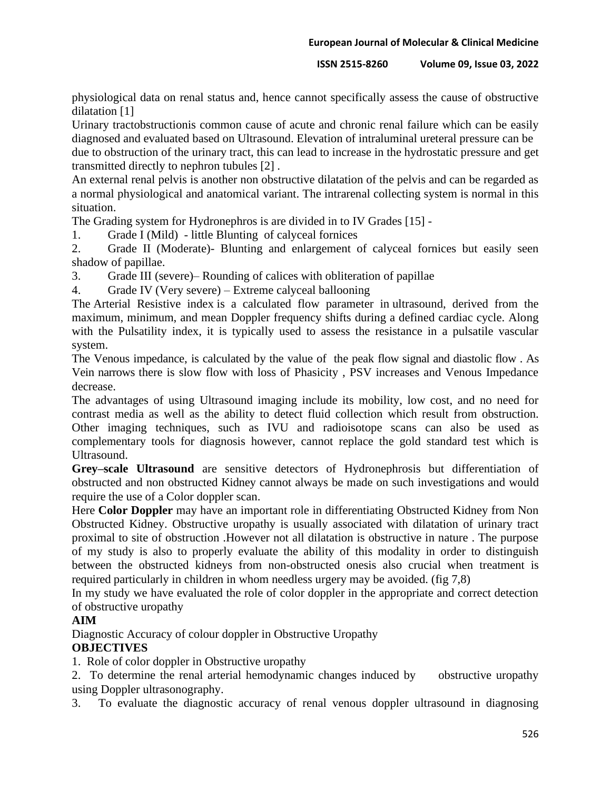#### **ISSN 2515-8260 Volume 09, Issue 03, 2022**

physiological data on renal status and, hence cannot specifically assess the cause of obstructive dilatation [1]

Urinary tractobstructionis common cause of acute and chronic renal failure which can be easily diagnosed and evaluated based on Ultrasound. Elevation of intraluminal ureteral pressure can be

due to obstruction of the urinary tract, this can lead to increase in the hydrostatic pressure and get transmitted directly to nephron tubules [2] .

An external renal pelvis is another non obstructive dilatation of the pelvis and can be regarded as a normal physiological and anatomical variant. The intrarenal collecting system is normal in this situation.

The Grading system for Hydronephros is are divided in to IV Grades [15] -

1. Grade I (Mild) - little Blunting of calyceal fornices

2. Grade II (Moderate)- Blunting and enlargement of calyceal fornices but easily seen shadow of papillae.

3. Grade III (severe)– Rounding of calices with obliteration of papillae

4. Grade IV (Very severe) – Extreme calyceal ballooning

The Arterial Resistive index is a calculated flow parameter in ultrasound, derived from the maximum, minimum, and mean Doppler frequency shifts during a defined cardiac cycle. Along with the Pulsatility index, it is typically used to assess the resistance in a pulsatile vascular system.

The Venous impedance, is calculated by the value of the peak flow signal and diastolic flow . As Vein narrows there is slow flow with loss of Phasicity , PSV increases and Venous Impedance decrease.

The advantages of using Ultrasound imaging include its mobility, low cost, and no need for contrast media as well as the ability to detect fluid collection which result from obstruction. Other imaging techniques, such as IVU and radioisotope scans can also be used as complementary tools for diagnosis however, cannot replace the gold standard test which is Ultrasound.

**Grey–scale Ultrasound** are sensitive detectors of Hydronephrosis but differentiation of obstructed and non obstructed Kidney cannot always be made on such investigations and would require the use of a Color doppler scan.

Here **Color Doppler** may have an important role in differentiating Obstructed Kidney from Non Obstructed Kidney. Obstructive uropathy is usually associated with dilatation of urinary tract proximal to site of obstruction .However not all dilatation is obstructive in nature . The purpose of my study is also to properly evaluate the ability of this modality in order to distinguish between the obstructed kidneys from non-obstructed onesis also crucial when treatment is required particularly in children in whom needless urgery may be avoided. (fig 7,8)

In my study we have evaluated the role of color doppler in the appropriate and correct detection of obstructive uropathy

# **AIM**

Diagnostic Accuracy of colour doppler in Obstructive Uropathy

# **OBJECTIVES**

1. Role of color doppler in Obstructive uropathy

2. To determine the renal arterial hemodynamic changes induced by obstructive uropathy using Doppler ultrasonography.

3. To evaluate the diagnostic accuracy of renal venous doppler ultrasound in diagnosing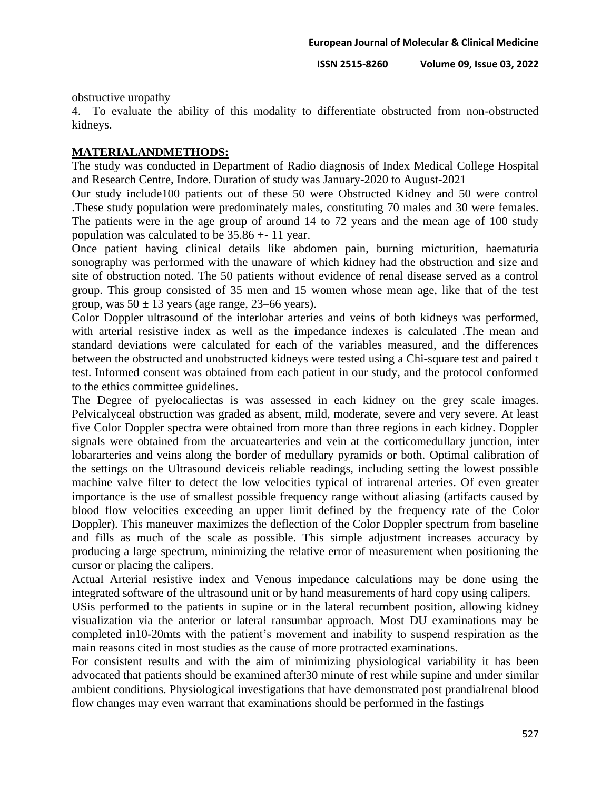obstructive uropathy

4. To evaluate the ability of this modality to differentiate obstructed from non-obstructed kidneys.

### **MATERIALANDMETHODS:**

The study was conducted in Department of Radio diagnosis of Index Medical College Hospital and Research Centre, Indore. Duration of study was January-2020 to August-2021

Our study include100 patients out of these 50 were Obstructed Kidney and 50 were control .These study population were predominately males, constituting 70 males and 30 were females. The patients were in the age group of around 14 to 72 years and the mean age of 100 study population was calculated to be 35.86 +- 11 year.

Once patient having clinical details like abdomen pain, burning micturition, haematuria sonography was performed with the unaware of which kidney had the obstruction and size and site of obstruction noted. The 50 patients without evidence of renal disease served as a control group. This group consisted of 35 men and 15 women whose mean age, like that of the test group, was  $50 \pm 13$  years (age range, 23–66 years).

Color Doppler ultrasound of the interlobar arteries and veins of both kidneys was performed, with arterial resistive index as well as the impedance indexes is calculated .The mean and standard deviations were calculated for each of the variables measured, and the differences between the obstructed and unobstructed kidneys were tested using a Chi-square test and paired t test. Informed consent was obtained from each patient in our study, and the protocol conformed to the ethics committee guidelines.

The Degree of pyelocaliectas is was assessed in each kidney on the grey scale images. Pelvicalyceal obstruction was graded as absent, mild, moderate, severe and very severe. At least five Color Doppler spectra were obtained from more than three regions in each kidney. Doppler signals were obtained from the arcuatearteries and vein at the corticomedullary junction, inter lobararteries and veins along the border of medullary pyramids or both. Optimal calibration of the settings on the Ultrasound deviceis reliable readings, including setting the lowest possible machine valve filter to detect the low velocities typical of intrarenal arteries. Of even greater importance is the use of smallest possible frequency range without aliasing (artifacts caused by blood flow velocities exceeding an upper limit defined by the frequency rate of the Color Doppler). This maneuver maximizes the deflection of the Color Doppler spectrum from baseline and fills as much of the scale as possible. This simple adjustment increases accuracy by producing a large spectrum, minimizing the relative error of measurement when positioning the cursor or placing the calipers.

Actual Arterial resistive index and Venous impedance calculations may be done using the integrated software of the ultrasound unit or by hand measurements of hard copy using calipers.

USis performed to the patients in supine or in the lateral recumbent position, allowing kidney visualization via the anterior or lateral ransumbar approach. Most DU examinations may be completed in10-20mts with the patient's movement and inability to suspend respiration as the main reasons cited in most studies as the cause of more protracted examinations.

For consistent results and with the aim of minimizing physiological variability it has been advocated that patients should be examined after30 minute of rest while supine and under similar ambient conditions. Physiological investigations that have demonstrated post prandialrenal blood flow changes may even warrant that examinations should be performed in the fastings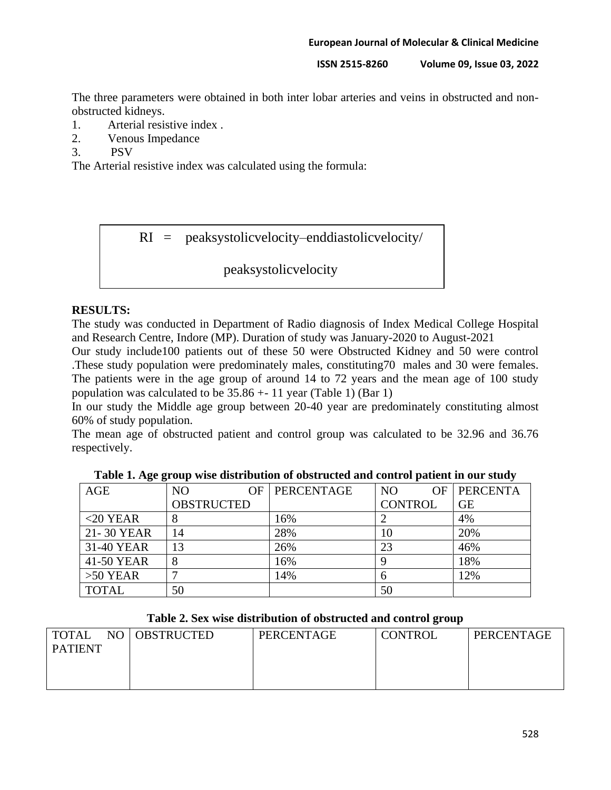The three parameters were obtained in both inter lobar arteries and veins in obstructed and nonobstructed kidneys.

- 1. Arterial resistive index .
- 2. Venous Impedance

3. PSV

The Arterial resistive index was calculated using the formula:

RI = peaksystolicvelocity–enddiastolicvelocity/

peaksystolicvelocity

### **RESULTS:**

The study was conducted in Department of Radio diagnosis of Index Medical College Hospital and Research Centre, Indore (MP). Duration of study was January-2020 to August-2021

Our study include100 patients out of these 50 were Obstructed Kidney and 50 were control .These study population were predominately males, constituting70 males and 30 were females. The patients were in the age group of around 14 to 72 years and the mean age of 100 study population was calculated to be  $35.86 + 11$  year (Table 1) (Bar 1)

In our study the Middle age group between 20-40 year are predominately constituting almost 60% of study population.

The mean age of obstructed patient and control group was calculated to be 32.96 and 36.76 respectively.

| AGE          | N <sub>O</sub>    | OF I | PERCENTAGE | N <sub>O</sub> | OF. | <b>PERCENTA</b> |
|--------------|-------------------|------|------------|----------------|-----|-----------------|
|              | <b>OBSTRUCTED</b> |      |            | <b>CONTROL</b> |     | <b>GE</b>       |
| $<$ 20 YEAR  |                   |      | 16%        |                |     | 4%              |
| 21-30 YEAR   | 14                |      | 28%        | 10             |     | 20%             |
| 31-40 YEAR   | 13                |      | 26%        | 23             |     | 46%             |
| 41-50 YEAR   |                   |      | 16%        |                |     | 18%             |
| $>50$ YEAR   |                   |      | 14%        | 6              |     | 12%             |
| <b>TOTAL</b> | 50                |      |            | 50             |     |                 |

**Table 1. Age group wise distribution of obstructed and control patient in our study**

| Table 2. Sex wise distribution of obstructed and control group |  |  |
|----------------------------------------------------------------|--|--|
|----------------------------------------------------------------|--|--|

| <b>TOTAL</b>   | NO OBSTRUCTED | PERCENTAGE | <b>CONTROL</b> | PERCENTAGE |
|----------------|---------------|------------|----------------|------------|
| <b>PATIENT</b> |               |            |                |            |
|                |               |            |                |            |
|                |               |            |                |            |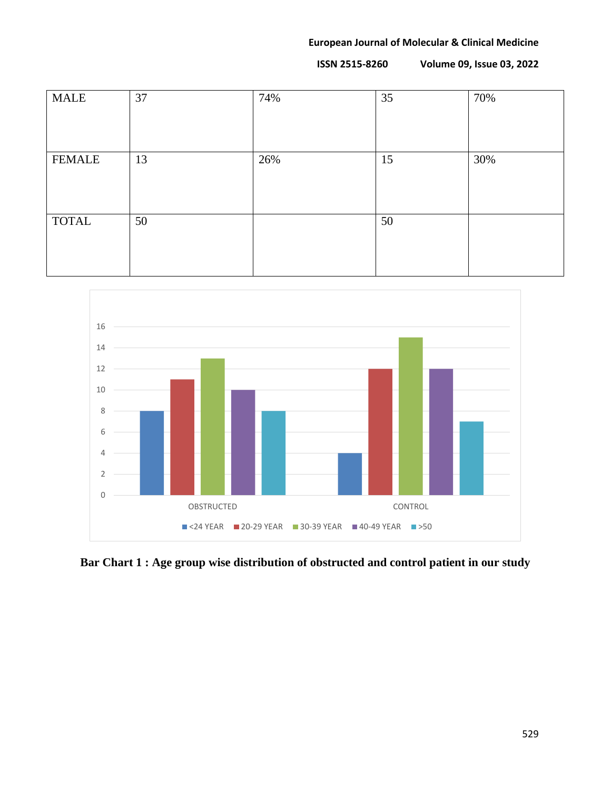| <b>MALE</b>   | 37 | 74% | 35 | 70% |
|---------------|----|-----|----|-----|
|               |    |     |    |     |
|               |    |     |    |     |
|               |    |     |    |     |
| <b>FEMALE</b> | 13 | 26% | 15 | 30% |
|               |    |     |    |     |
|               |    |     |    |     |
|               |    |     |    |     |
| <b>TOTAL</b>  | 50 |     | 50 |     |
|               |    |     |    |     |
|               |    |     |    |     |
|               |    |     |    |     |



**Bar Chart 1 : Age group wise distribution of obstructed and control patient in our study**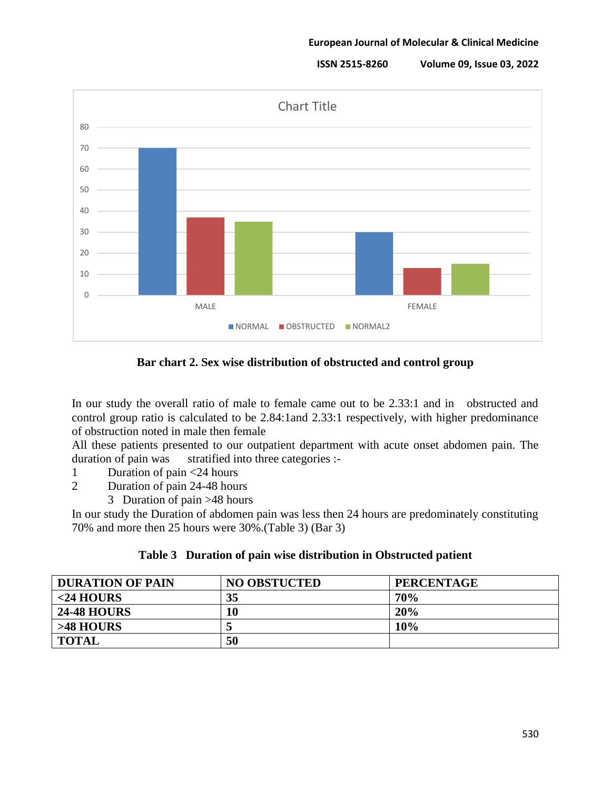**ISSN 2515-8260 Volume 09, Issue 03, 2022**



**Bar chart 2. Sex wise distribution of obstructed and control group**

In our study the overall ratio of male to female came out to be 2.33:1 and in obstructed and control group ratio is calculated to be 2.84:1and 2.33:1 respectively, with higher predominance of obstruction noted in male then female

All these patients presented to our outpatient department with acute onset abdomen pain. The duration of pain was stratified into three categories :-

- 1 Duration of pain <24 hours
- 2 Duration of pain 24-48 hours
	- 3 Duration of pain >48 hours

In our study the Duration of abdomen pain was less then 24 hours are predominately constituting 70% and more then 25 hours were 30%.(Table 3) (Bar 3)

### **Table 3 Duration of pain wise distribution in Obstructed patient**

| <b>DURATION OF PAIN</b> | <b>NO OBSTUCTED</b> | <b>PERCENTAGE</b> |
|-------------------------|---------------------|-------------------|
| $<$ 24 HOURS            | 35                  | 70%               |
| <b>24-48 HOURS</b>      | 10                  | 20%               |
| $>48$ HOURS             |                     | 10%               |
| <b>TOTAL</b>            | 50                  |                   |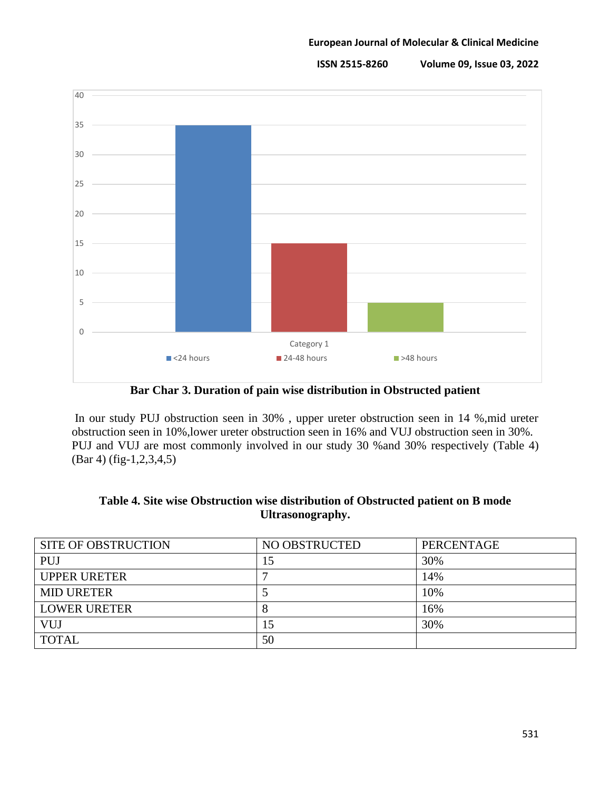

**Bar Char 3. Duration of pain wise distribution in Obstructed patient**

In our study PUJ obstruction seen in 30% , upper ureter obstruction seen in 14 %,mid ureter obstruction seen in 10%,lower ureter obstruction seen in 16% and VUJ obstruction seen in 30%. PUJ and VUJ are most commonly involved in our study 30 %and 30% respectively (Table 4) (Bar 4) (fig-1,2,3,4,5)

| <b>SITE OF OBSTRUCTION</b> | NO OBSTRUCTED | <b>PERCENTAGE</b> |
|----------------------------|---------------|-------------------|
| <b>PUJ</b>                 | 15            | 30%               |
| <b>UPPER URETER</b>        |               | 14%               |
| <b>MID URETER</b>          |               | 10%               |
| <b>LOWER URETER</b>        |               | 16%               |
| VUJ                        | .5            | 30%               |
| <b>TOTAL</b>               | 50            |                   |

|                  | Table 4. Site wise Obstruction wise distribution of Obstructed patient on B mode |
|------------------|----------------------------------------------------------------------------------|
| Ultrasonography. |                                                                                  |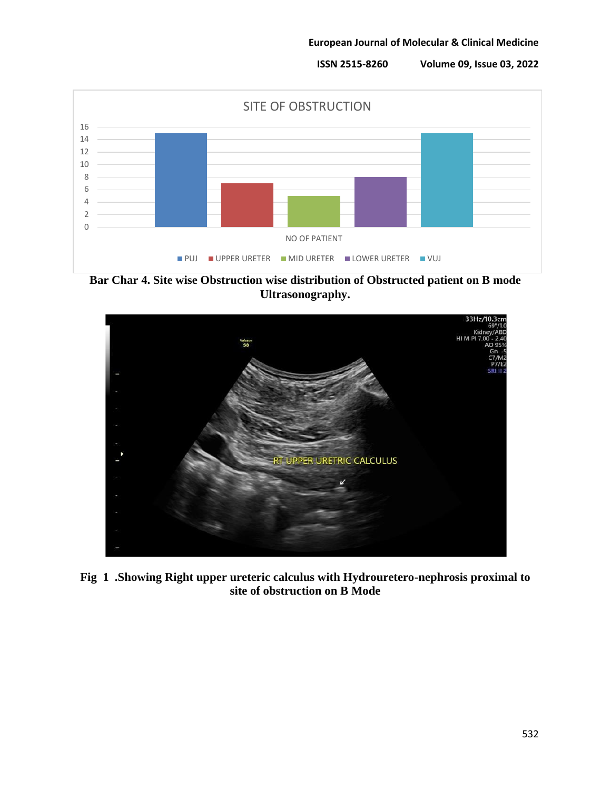

**Bar Char 4. Site wise Obstruction wise distribution of Obstructed patient on B mode Ultrasonography.**



**Fig 1 .Showing Right upper ureteric calculus with Hydrouretero-nephrosis proximal to site of obstruction on B Mode**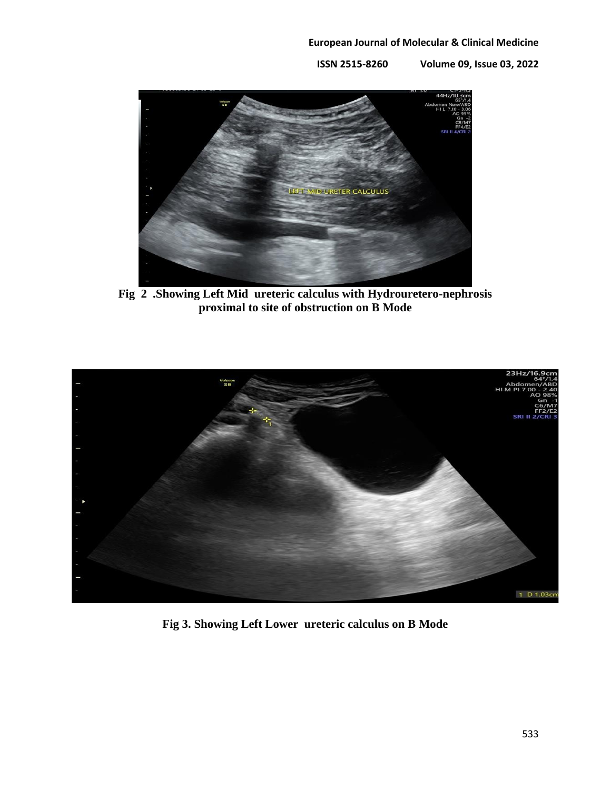

**Fig 2 .Showing Left Mid ureteric calculus with Hydrouretero-nephrosis proximal to site of obstruction on B Mode**



**Fig 3. Showing Left Lower ureteric calculus on B Mode**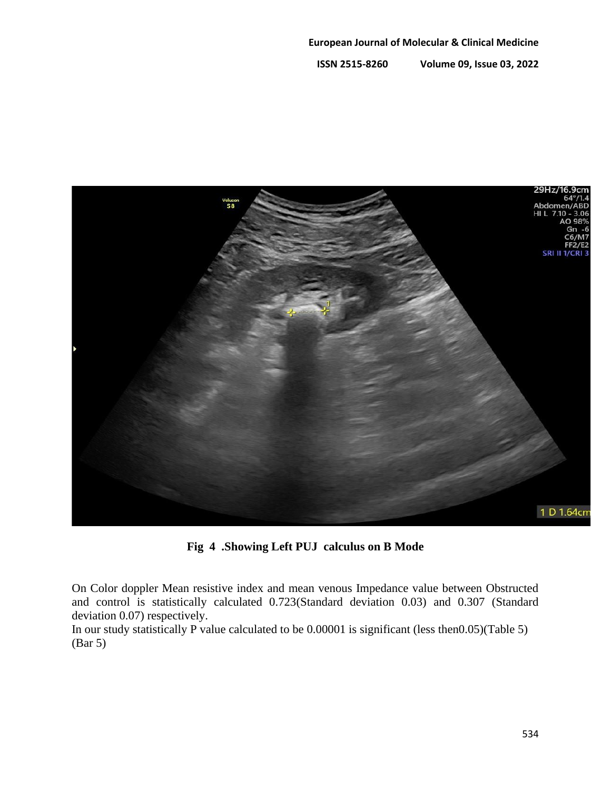

**Fig 4 .Showing Left PUJ calculus on B Mode**

On Color doppler Mean resistive index and mean venous Impedance value between Obstructed and control is statistically calculated 0.723(Standard deviation 0.03) and 0.307 (Standard deviation 0.07) respectively.

In our study statistically P value calculated to be 0.00001 is significant (less then0.05)(Table 5) (Bar 5)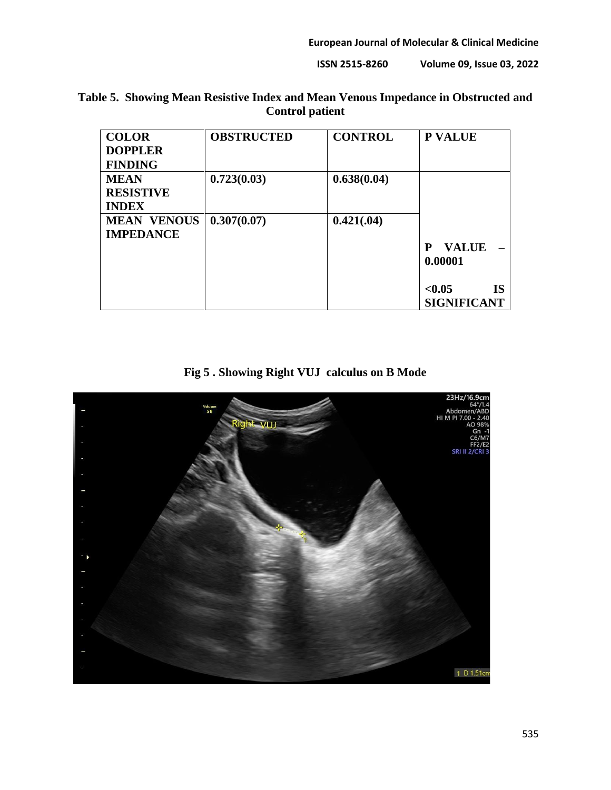### **ISSN 2515-8260 Volume 09, Issue 03, 2022**

| <b>COLOR</b>       | <b>OBSTRUCTED</b> | <b>CONTROL</b> | <b>P VALUE</b>      |
|--------------------|-------------------|----------------|---------------------|
| <b>DOPPLER</b>     |                   |                |                     |
| <b>FINDING</b>     |                   |                |                     |
| <b>MEAN</b>        | 0.723(0.03)       | 0.638(0.04)    |                     |
| <b>RESISTIVE</b>   |                   |                |                     |
| <b>INDEX</b>       |                   |                |                     |
| <b>MEAN VENOUS</b> | 0.307(0.07)       | 0.421(.04)     |                     |
| <b>IMPEDANCE</b>   |                   |                |                     |
|                    |                   |                | <b>VALUE</b><br>P   |
|                    |                   |                | 0.00001             |
|                    |                   |                | <b>IS</b><br>< 0.05 |
|                    |                   |                | <b>SIGNIFICANT</b>  |

# **Table 5. Showing Mean Resistive Index and Mean Venous Impedance in Obstructed and Control patient**

**Fig 5 . Showing Right VUJ calculus on B Mode**

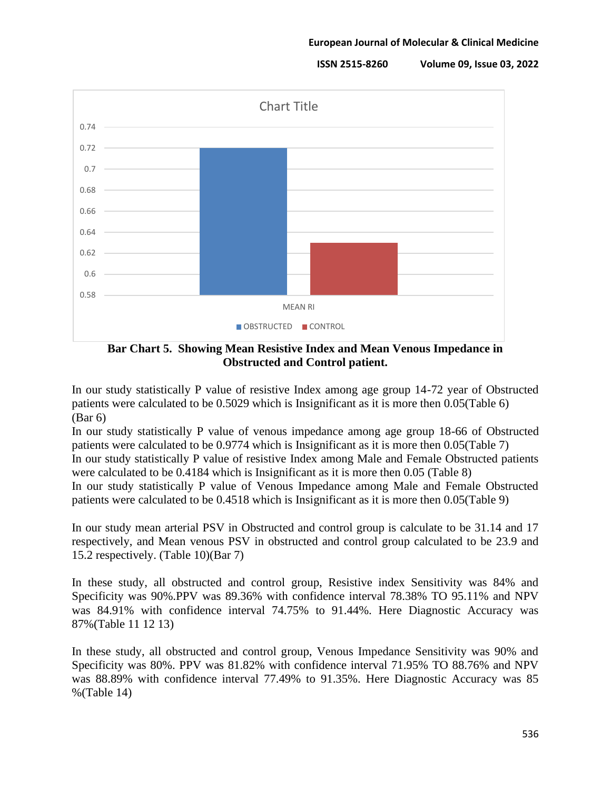

**Bar Chart 5. Showing Mean Resistive Index and Mean Venous Impedance in Obstructed and Control patient.**

In our study statistically P value of resistive Index among age group 14-72 year of Obstructed patients were calculated to be 0.5029 which is Insignificant as it is more then 0.05(Table 6) (Bar 6)

In our study statistically P value of venous impedance among age group 18-66 of Obstructed patients were calculated to be 0.9774 which is Insignificant as it is more then 0.05(Table 7) In our study statistically P value of resistive Index among Male and Female Obstructed patients were calculated to be 0.4184 which is Insignificant as it is more then 0.05 (Table 8) In our study statistically P value of Venous Impedance among Male and Female Obstructed

patients were calculated to be 0.4518 which is Insignificant as it is more then 0.05(Table 9)

In our study mean arterial PSV in Obstructed and control group is calculate to be 31.14 and 17 respectively, and Mean venous PSV in obstructed and control group calculated to be 23.9 and 15.2 respectively. (Table 10)(Bar 7)

In these study, all obstructed and control group, Resistive index Sensitivity was 84% and Specificity was 90%.PPV was 89.36% with confidence interval 78.38% TO 95.11% and NPV was 84.91% with confidence interval 74.75% to 91.44%. Here Diagnostic Accuracy was 87%(Table 11 12 13)

In these study, all obstructed and control group, Venous Impedance Sensitivity was 90% and Specificity was 80%. PPV was 81.82% with confidence interval 71.95% TO 88.76% and NPV was 88.89% with confidence interval 77.49% to 91.35%. Here Diagnostic Accuracy was 85 %(Table 14)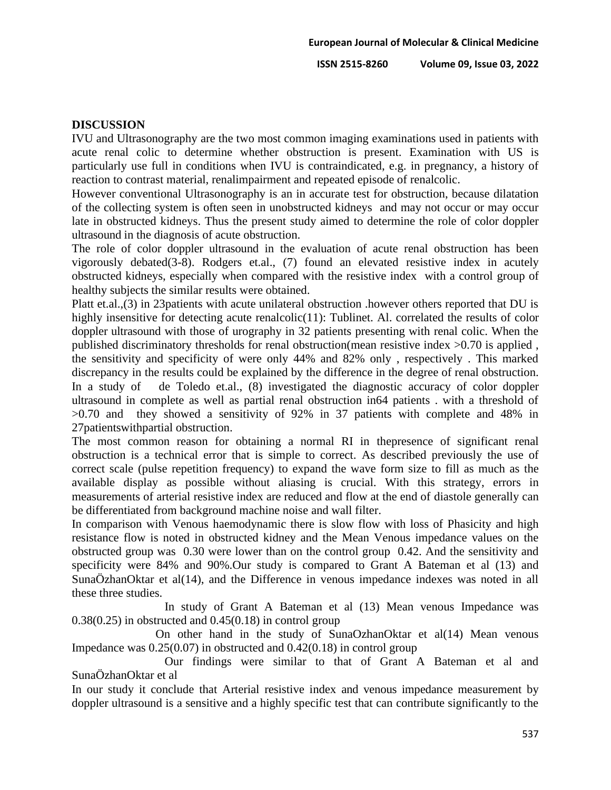### **DISCUSSION**

IVU and Ultrasonography are the two most common imaging examinations used in patients with acute renal colic to determine whether obstruction is present. Examination with US is particularly use full in conditions when IVU is contraindicated, e.g. in pregnancy, a history of reaction to contrast material, renalimpairment and repeated episode of renalcolic.

However conventional Ultrasonography is an in accurate test for obstruction, because dilatation of the collecting system is often seen in unobstructed kidneys and may not occur or may occur late in obstructed kidneys. Thus the present study aimed to determine the role of color doppler ultrasound in the diagnosis of acute obstruction.

The role of color doppler ultrasound in the evaluation of acute renal obstruction has been vigorously debated(3-8). Rodgers et.al., (7) found an elevated resistive index in acutely obstructed kidneys, especially when compared with the resistive index with a control group of healthy subjects the similar results were obtained.

Platt et.al.,(3) in 23patients with acute unilateral obstruction .however others reported that DU is highly insensitive for detecting acute renalcolic(11): Tublinet. Al. correlated the results of color doppler ultrasound with those of urography in 32 patients presenting with renal colic. When the published discriminatory thresholds for renal obstruction(mean resistive index >0.70 is applied , the sensitivity and specificity of were only 44% and 82% only , respectively . This marked discrepancy in the results could be explained by the difference in the degree of renal obstruction. In a study of de Toledo et.al., (8) investigated the diagnostic accuracy of color doppler ultrasound in complete as well as partial renal obstruction in64 patients . with a threshold of >0.70 and they showed a sensitivity of 92% in 37 patients with complete and 48% in 27patientswithpartial obstruction.

The most common reason for obtaining a normal RI in thepresence of significant renal obstruction is a technical error that is simple to correct. As described previously the use of correct scale (pulse repetition frequency) to expand the wave form size to fill as much as the available display as possible without aliasing is crucial. With this strategy, errors in measurements of arterial resistive index are reduced and flow at the end of diastole generally can be differentiated from background machine noise and wall filter.

In comparison with Venous haemodynamic there is slow flow with loss of Phasicity and high resistance flow is noted in obstructed kidney and the Mean Venous impedance values on the obstructed group was 0.30 were lower than on the control group 0.42. And the sensitivity and specificity were 84% and 90%.Our study is compared to Grant A Bateman et al (13) and SunaÖzhanOktar et al(14), and the Difference in venous impedance indexes was noted in all these three studies.

 In study of Grant A Bateman et al (13) Mean venous Impedance was  $0.38(0.25)$  in obstructed and  $0.45(0.18)$  in control group

 On other hand in the study of SunaOzhanOktar et al(14) Mean venous Impedance was  $0.25(0.07)$  in obstructed and  $0.42(0.18)$  in control group

 Our findings were similar to that of Grant A Bateman et al and SunaÖzhanOktar et al

In our study it conclude that Arterial resistive index and venous impedance measurement by doppler ultrasound is a sensitive and a highly specific test that can contribute significantly to the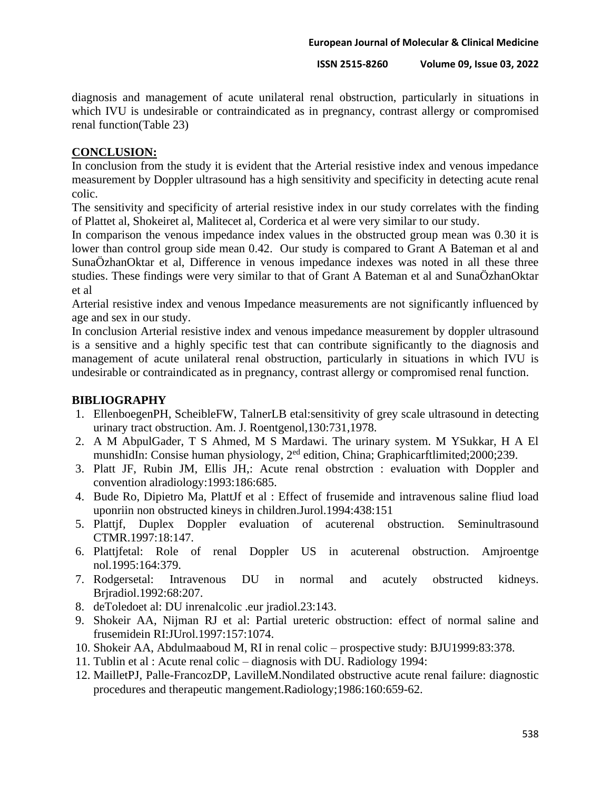diagnosis and management of acute unilateral renal obstruction, particularly in situations in which IVU is undesirable or contraindicated as in pregnancy, contrast allergy or compromised renal function(Table 23)

## **CONCLUSION:**

In conclusion from the study it is evident that the Arterial resistive index and venous impedance measurement by Doppler ultrasound has a high sensitivity and specificity in detecting acute renal colic.

The sensitivity and specificity of arterial resistive index in our study correlates with the finding of Plattet al, Shokeiret al, Malitecet al, Corderica et al were very similar to our study.

In comparison the venous impedance index values in the obstructed group mean was 0.30 it is lower than control group side mean 0.42. Our study is compared to Grant A Bateman et al and SunaÖzhanOktar et al, Difference in venous impedance indexes was noted in all these three studies. These findings were very similar to that of Grant A Bateman et al and SunaÖzhanOktar et al

Arterial resistive index and venous Impedance measurements are not significantly influenced by age and sex in our study.

In conclusion Arterial resistive index and venous impedance measurement by doppler ultrasound is a sensitive and a highly specific test that can contribute significantly to the diagnosis and management of acute unilateral renal obstruction, particularly in situations in which IVU is undesirable or contraindicated as in pregnancy, contrast allergy or compromised renal function.

## **BIBLIOGRAPHY**

- 1. EllenboegenPH, ScheibleFW, TalnerLB etal:sensitivity of grey scale ultrasound in detecting urinary tract obstruction. Am. J. Roentgenol,130:731,1978.
- 2. A M AbpulGader, T S Ahmed, M S Mardawi. The urinary system. M YSukkar, H A El munshidIn: Consise human physiology, 2<sup>ed</sup> edition, China; Graphicarftlimited;2000;239.
- 3. Platt JF, Rubin JM, Ellis JH,: Acute renal obstrction : evaluation with Doppler and convention alradiology:1993:186:685.
- 4. Bude Ro, Dipietro Ma, PlattJf et al : Effect of frusemide and intravenous saline fliud load uponriin non obstructed kineys in children.Jurol.1994:438:151
- 5. Plattjf, Duplex Doppler evaluation of acuterenal obstruction. Seminultrasound CTMR.1997:18:147.
- 6. Plattjfetal: Role of renal Doppler US in acuterenal obstruction. Amjroentge nol.1995:164:379.
- 7. Rodgersetal: Intravenous DU in normal and acutely obstructed kidneys. Brjradiol.1992:68:207.
- 8. deToledoet al: DU inrenalcolic .eur jradiol.23:143.
- 9. Shokeir AA, Nijman RJ et al: Partial ureteric obstruction: effect of normal saline and frusemidein RI:JUrol.1997:157:1074.
- 10. Shokeir AA, Abdulmaaboud M, RI in renal colic prospective study: BJU1999:83:378.
- 11. Tublin et al : Acute renal colic diagnosis with DU. Radiology 1994:
- 12. MailletPJ, Palle-FrancozDP, LavilleM.Nondilated obstructive acute renal failure: diagnostic procedures and therapeutic mangement.Radiology;1986:160:659-62.